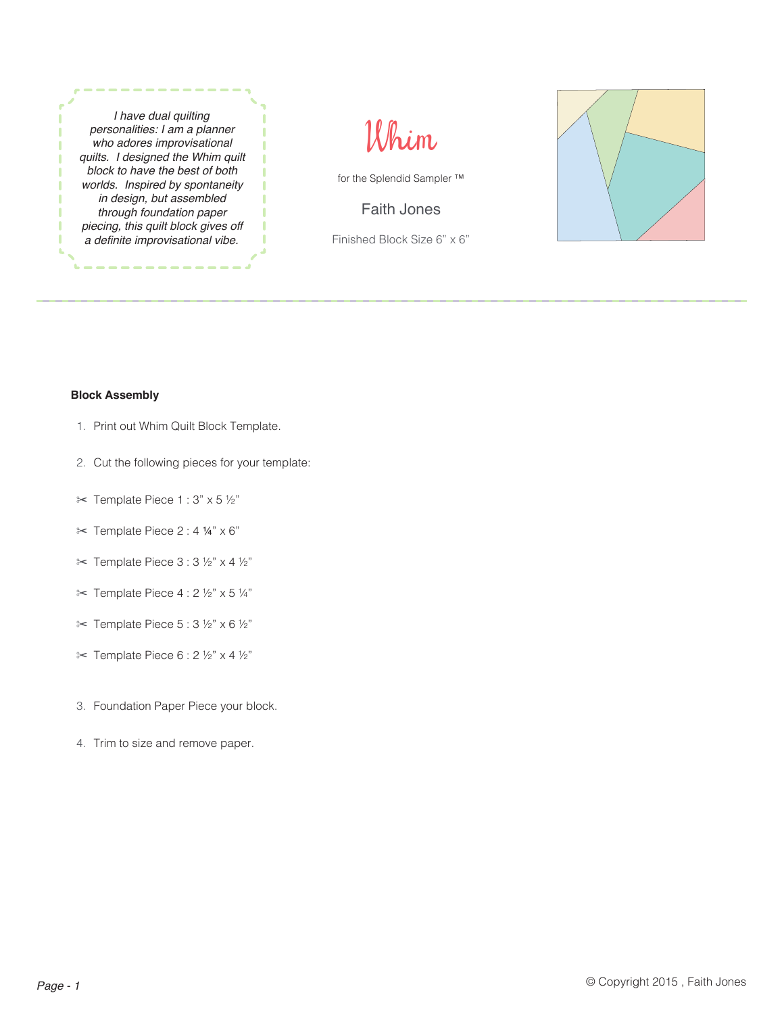*I have dual quilting personalities: I am a planner who adores improvisational quilts. I designed the Whim quilt block to have the best of both worlds. Inspired by spontaneity in design, but assembled through foundation paper piecing, this quilt block gives off*  a definite improvisational vibe.



for the Splendid Sampler ™

Faith Jones

Finished Block Size 6" x 6"



## **Block Assembly**

- 1. Print out Whim Quilt Block Template.
- 2. Cut the following pieces for your template:
- ✂ Template Piece 1 : 3" x 5 ½"
- ✂ Template Piece 2 : 4 ¼" x 6"
- ✂ Template Piece 3 : 3 ½" x 4 ½"
- $\approx$  Template Piece 4 : 2 ½" x 5 ¼"
- $\approx$  Template Piece 5 : 3 ½" x 6 ½"
- ✂ Template Piece 6 : 2 ½" x 4 ½"
- 3. Foundation Paper Piece your block.
- 4. Trim to size and remove paper.